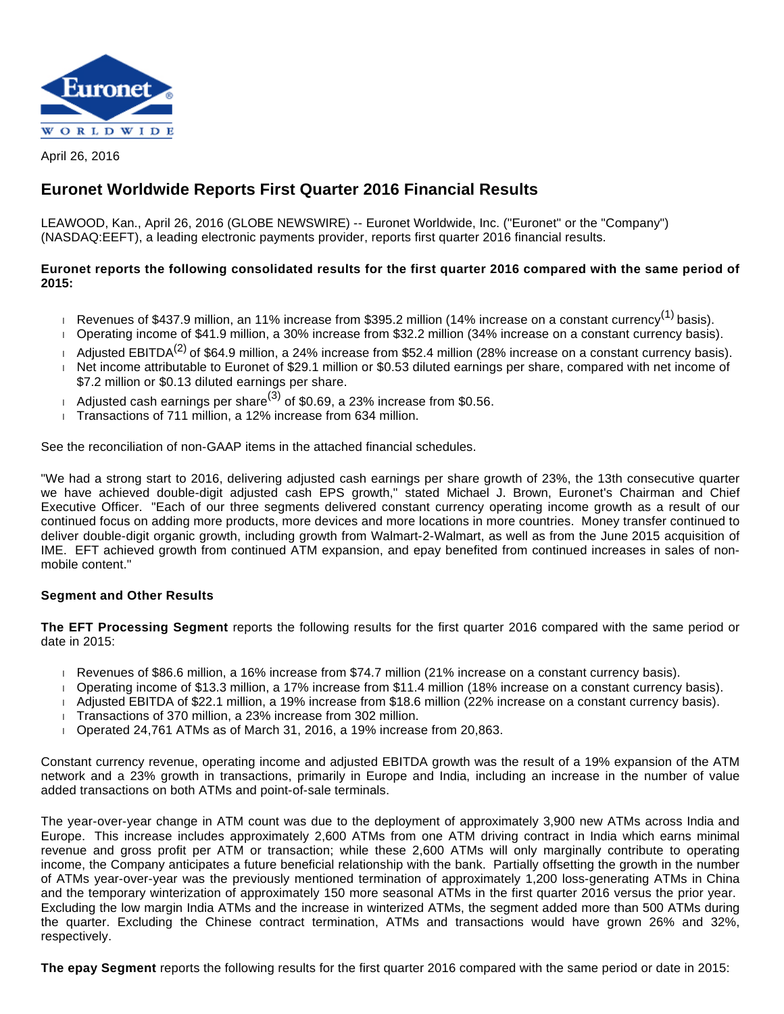

April 26, 2016

# **Euronet Worldwide Reports First Quarter 2016 Financial Results**

LEAWOOD, Kan., April 26, 2016 (GLOBE NEWSWIRE) -- Euronet Worldwide, Inc. ("Euronet" or the "Company") (NASDAQ:EEFT), a leading electronic payments provider, reports first quarter 2016 financial results.

# **Euronet reports the following consolidated results for the first quarter 2016 compared with the same period of 2015:**

- Revenues of \$437.9 million, an 11% increase from \$395.2 million (14% increase on a constant currency<sup>(1)</sup> basis).
- Operating income of \$41.9 million, a 30% increase from \$32.2 million (34% increase on a constant currency basis).
- Adjusted EBITDA<sup>(2)</sup> of \$64.9 million, a 24% increase from \$52.4 million (28% increase on a constant currency basis). Net income attributable to Euronet of \$29.1 million or \$0.53 diluted earnings per share, compared with net income of \$7.2 million or \$0.13 diluted earnings per share.
- Adjusted cash earnings per share<sup>(3)</sup> of \$0.69, a 23% increase from \$0.56.
- Transactions of 711 million, a 12% increase from 634 million.

See the reconciliation of non-GAAP items in the attached financial schedules.

"We had a strong start to 2016, delivering adjusted cash earnings per share growth of 23%, the 13th consecutive quarter we have achieved double-digit adjusted cash EPS growth," stated Michael J. Brown, Euronet's Chairman and Chief Executive Officer. "Each of our three segments delivered constant currency operating income growth as a result of our continued focus on adding more products, more devices and more locations in more countries. Money transfer continued to deliver double-digit organic growth, including growth from Walmart-2-Walmart, as well as from the June 2015 acquisition of IME. EFT achieved growth from continued ATM expansion, and epay benefited from continued increases in sales of nonmobile content."

# **Segment and Other Results**

**The EFT Processing Segment** reports the following results for the first quarter 2016 compared with the same period or date in 2015:

- Revenues of \$86.6 million, a 16% increase from \$74.7 million (21% increase on a constant currency basis).
- Operating income of \$13.3 million, a 17% increase from \$11.4 million (18% increase on a constant currency basis).
- Adjusted EBITDA of \$22.1 million, a 19% increase from \$18.6 million (22% increase on a constant currency basis).
- Transactions of 370 million, a 23% increase from 302 million.
- $\overline{1}$  Operated 24,761 ATMs as of March 31, 2016, a 19% increase from 20,863.

Constant currency revenue, operating income and adjusted EBITDA growth was the result of a 19% expansion of the ATM network and a 23% growth in transactions, primarily in Europe and India, including an increase in the number of value added transactions on both ATMs and point-of-sale terminals.

The year-over-year change in ATM count was due to the deployment of approximately 3,900 new ATMs across India and Europe. This increase includes approximately 2,600 ATMs from one ATM driving contract in India which earns minimal revenue and gross profit per ATM or transaction; while these 2,600 ATMs will only marginally contribute to operating income, the Company anticipates a future beneficial relationship with the bank. Partially offsetting the growth in the number of ATMs year-over-year was the previously mentioned termination of approximately 1,200 loss-generating ATMs in China and the temporary winterization of approximately 150 more seasonal ATMs in the first quarter 2016 versus the prior year. Excluding the low margin India ATMs and the increase in winterized ATMs, the segment added more than 500 ATMs during the quarter. Excluding the Chinese contract termination, ATMs and transactions would have grown 26% and 32%, respectively.

**The epay Segment** reports the following results for the first quarter 2016 compared with the same period or date in 2015: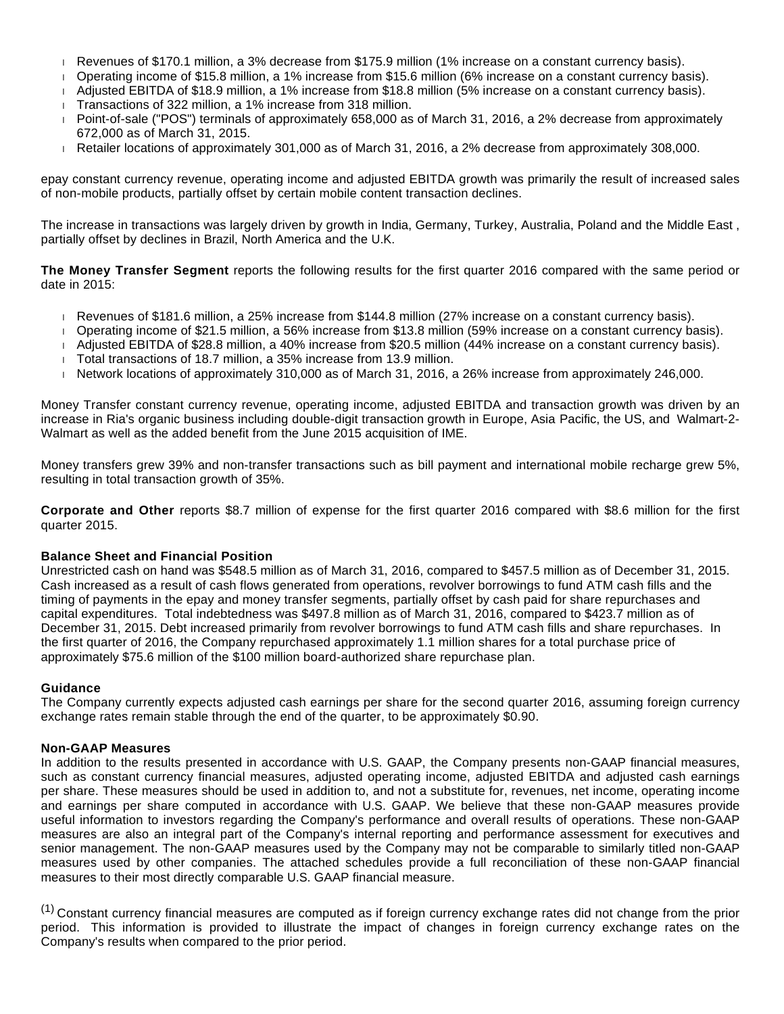- Revenues of \$170.1 million, a 3% decrease from \$175.9 million (1% increase on a constant currency basis).
- Operating income of \$15.8 million, a 1% increase from \$15.6 million (6% increase on a constant currency basis).
- Adjusted EBITDA of \$18.9 million, a 1% increase from \$18.8 million (5% increase on a constant currency basis).
- Transactions of 322 million, a 1% increase from 318 million.
- Point-of-sale ("POS") terminals of approximately 658,000 as of March 31, 2016, a 2% decrease from approximately 672,000 as of March 31, 2015.
- Retailer locations of approximately 301,000 as of March 31, 2016, a 2% decrease from approximately 308,000.

epay constant currency revenue, operating income and adjusted EBITDA growth was primarily the result of increased sales of non-mobile products, partially offset by certain mobile content transaction declines.

The increase in transactions was largely driven by growth in India, Germany, Turkey, Australia, Poland and the Middle East , partially offset by declines in Brazil, North America and the U.K.

**The Money Transfer Segment** reports the following results for the first quarter 2016 compared with the same period or date in 2015:

- Revenues of \$181.6 million, a 25% increase from \$144.8 million (27% increase on a constant currency basis).
- Operating income of \$21.5 million, a 56% increase from \$13.8 million (59% increase on a constant currency basis).
- Adjusted EBITDA of \$28.8 million, a 40% increase from \$20.5 million (44% increase on a constant currency basis).
- Total transactions of 18.7 million, a 35% increase from 13.9 million.
- Network locations of approximately 310,000 as of March 31, 2016, a 26% increase from approximately 246,000.

Money Transfer constant currency revenue, operating income, adjusted EBITDA and transaction growth was driven by an increase in Ria's organic business including double-digit transaction growth in Europe, Asia Pacific, the US, and Walmart-2- Walmart as well as the added benefit from the June 2015 acquisition of IME.

Money transfers grew 39% and non-transfer transactions such as bill payment and international mobile recharge grew 5%, resulting in total transaction growth of 35%.

**Corporate and Other** reports \$8.7 million of expense for the first quarter 2016 compared with \$8.6 million for the first quarter 2015.

## **Balance Sheet and Financial Position**

Unrestricted cash on hand was \$548.5 million as of March 31, 2016, compared to \$457.5 million as of December 31, 2015. Cash increased as a result of cash flows generated from operations, revolver borrowings to fund ATM cash fills and the timing of payments in the epay and money transfer segments, partially offset by cash paid for share repurchases and capital expenditures. Total indebtedness was \$497.8 million as of March 31, 2016, compared to \$423.7 million as of December 31, 2015. Debt increased primarily from revolver borrowings to fund ATM cash fills and share repurchases. In the first quarter of 2016, the Company repurchased approximately 1.1 million shares for a total purchase price of approximately \$75.6 million of the \$100 million board-authorized share repurchase plan.

### **Guidance**

The Company currently expects adjusted cash earnings per share for the second quarter 2016, assuming foreign currency exchange rates remain stable through the end of the quarter, to be approximately \$0.90.

#### **Non-GAAP Measures**

In addition to the results presented in accordance with U.S. GAAP, the Company presents non-GAAP financial measures, such as constant currency financial measures, adjusted operating income, adjusted EBITDA and adjusted cash earnings per share. These measures should be used in addition to, and not a substitute for, revenues, net income, operating income and earnings per share computed in accordance with U.S. GAAP. We believe that these non-GAAP measures provide useful information to investors regarding the Company's performance and overall results of operations. These non-GAAP measures are also an integral part of the Company's internal reporting and performance assessment for executives and senior management. The non-GAAP measures used by the Company may not be comparable to similarly titled non-GAAP measures used by other companies. The attached schedules provide a full reconciliation of these non-GAAP financial measures to their most directly comparable U.S. GAAP financial measure.

 $(1)$  Constant currency financial measures are computed as if foreign currency exchange rates did not change from the prior period. This information is provided to illustrate the impact of changes in foreign currency exchange rates on the Company's results when compared to the prior period.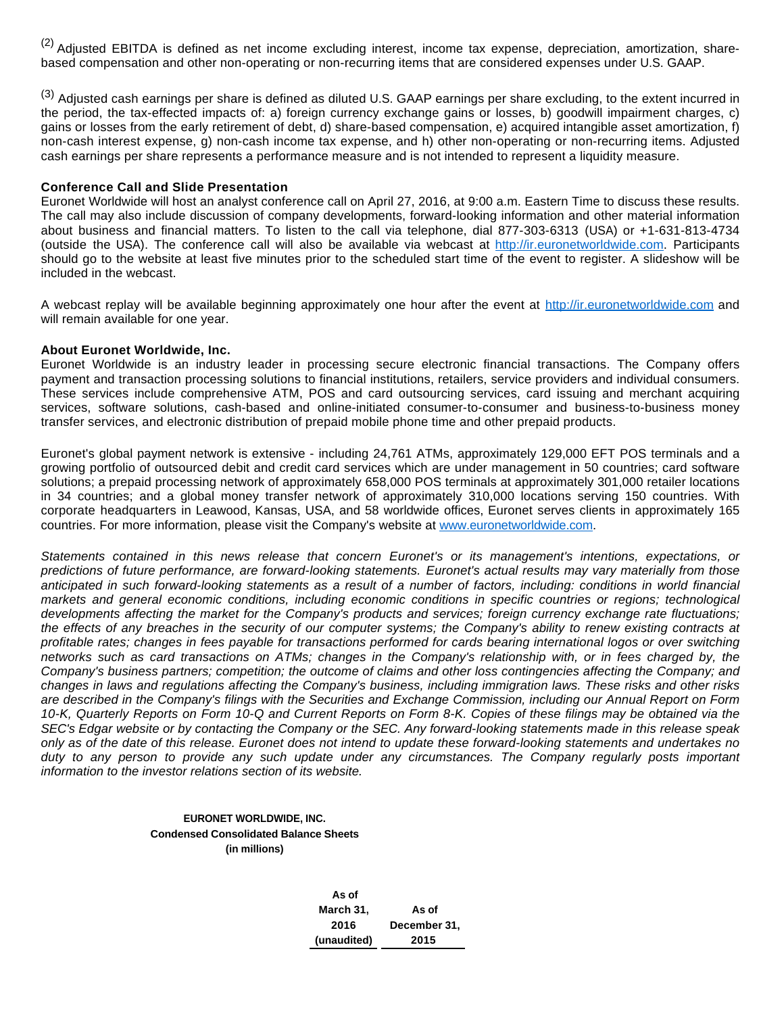(2) Adjusted EBITDA is defined as net income excluding interest, income tax expense, depreciation, amortization, sharebased compensation and other non-operating or non-recurring items that are considered expenses under U.S. GAAP.

<sup>(3)</sup> Adiusted cash earnings per share is defined as diluted U.S. GAAP earnings per share excluding, to the extent incurred in the period, the tax-effected impacts of: a) foreign currency exchange gains or losses, b) goodwill impairment charges, c) gains or losses from the early retirement of debt, d) share-based compensation, e) acquired intangible asset amortization, f) non-cash interest expense, g) non-cash income tax expense, and h) other non-operating or non-recurring items. Adjusted cash earnings per share represents a performance measure and is not intended to represent a liquidity measure.

#### **Conference Call and Slide Presentation**

Euronet Worldwide will host an analyst conference call on April 27, 2016, at 9:00 a.m. Eastern Time to discuss these results. The call may also include discussion of company developments, forward-looking information and other material information about business and financial matters. To listen to the call via telephone, dial 877-303-6313 (USA) or +1-631-813-4734 (outside the USA). The conference call will also be available via webcast at [http://ir.euronetworldwide.com](http://www.globenewswire.com/Tracker?data=U47IY2VyuwPVbR8fVHN47bNAppAOUoYSBtRc09iCY5BiyBoyTBDbgd3AqJ13HQKxjfhPHUaNlH1R__9ngipo5egAzss8A5SqB7DMv-uaoiWTWNkXeI1zr3ZSCpwD0h7T). Participants should go to the website at least five minutes prior to the scheduled start time of the event to register. A slideshow will be included in the webcast.

A webcast replay will be available beginning approximately one hour after the event at [http://ir.euronetworldwide.com](http://www.globenewswire.com/Tracker?data=U47IY2VyuwPVbR8fVHN47bNAppAOUoYSBtRc09iCY5DWx5xYzW6kWhErxXDMBKweXrg5pNzy8OrV7H-olk9aCSeCE9F-POjXBHmk0nn5zvxdF8i31gwI5-ajYb0ytxuT) and will remain available for one year.

#### **About Euronet Worldwide, Inc.**

Euronet Worldwide is an industry leader in processing secure electronic financial transactions. The Company offers payment and transaction processing solutions to financial institutions, retailers, service providers and individual consumers. These services include comprehensive ATM, POS and card outsourcing services, card issuing and merchant acquiring services, software solutions, cash-based and online-initiated consumer-to-consumer and business-to-business money transfer services, and electronic distribution of prepaid mobile phone time and other prepaid products.

Euronet's global payment network is extensive - including 24,761 ATMs, approximately 129,000 EFT POS terminals and a growing portfolio of outsourced debit and credit card services which are under management in 50 countries; card software solutions; a prepaid processing network of approximately 658,000 POS terminals at approximately 301,000 retailer locations in 34 countries; and a global money transfer network of approximately 310,000 locations serving 150 countries. With corporate headquarters in Leawood, Kansas, USA, and 58 worldwide offices, Euronet serves clients in approximately 165 countries. For more information, please visit the Company's website at [www.euronetworldwide.com](http://www.globenewswire.com/Tracker?data=3sHDynV86fGSW-wCO6pI5PJHOFYO0zAl836AZNUaGGfsKh73IYq-Ux_aa2Dc8vtc5j0cn4s0Nt2Uq1ZxpVoM9CAy3vCu3v46LwZ-x0CFd0U=).

Statements contained in this news release that concern Euronet's or its management's intentions, expectations, or predictions of future performance, are forward-looking statements. Euronet's actual results may vary materially from those anticipated in such forward-looking statements as a result of a number of factors, including: conditions in world financial markets and general economic conditions, including economic conditions in specific countries or regions; technological developments affecting the market for the Company's products and services; foreign currency exchange rate fluctuations; the effects of any breaches in the security of our computer systems; the Company's ability to renew existing contracts at profitable rates; changes in fees payable for transactions performed for cards bearing international logos or over switching networks such as card transactions on ATMs; changes in the Company's relationship with, or in fees charged by, the Company's business partners; competition; the outcome of claims and other loss contingencies affecting the Company; and changes in laws and regulations affecting the Company's business, including immigration laws. These risks and other risks are described in the Company's filings with the Securities and Exchange Commission, including our Annual Report on Form 10-K, Quarterly Reports on Form 10-Q and Current Reports on Form 8-K. Copies of these filings may be obtained via the SEC's Edgar website or by contacting the Company or the SEC. Any forward-looking statements made in this release speak only as of the date of this release. Euronet does not intend to update these forward-looking statements and undertakes no duty to any person to provide any such update under any circumstances. The Company regularly posts important information to the investor relations section of its website.

### **EURONET WORLDWIDE, INC. Condensed Consolidated Balance Sheets (in millions)**

 **As of March 31, As of 2016 December 31, (unaudited) 2015**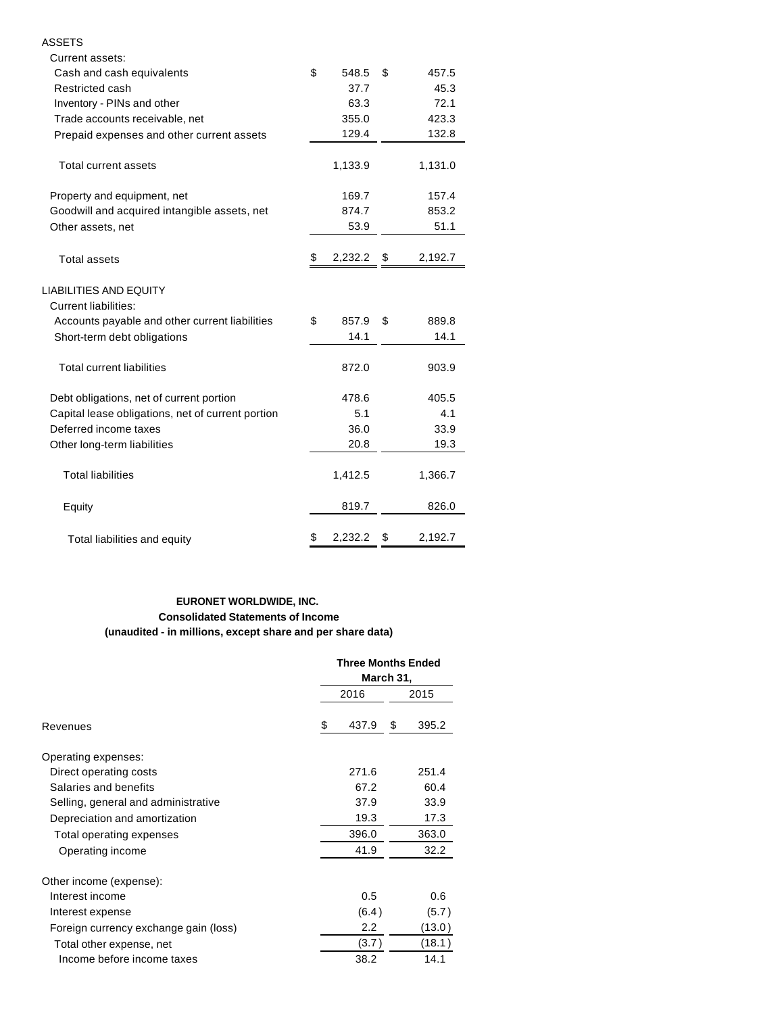| Current assets:                                       |                  |       |         |  |  |
|-------------------------------------------------------|------------------|-------|---------|--|--|
| Cash and cash equivalents                             | \$<br>548.5      | \$    | 457.5   |  |  |
| Restricted cash                                       | 37.7             |       | 45.3    |  |  |
| Inventory - PINs and other                            | 63.3             |       | 72.1    |  |  |
| Trade accounts receivable, net                        | 355.0            |       | 423.3   |  |  |
| Prepaid expenses and other current assets             | 129.4            |       | 132.8   |  |  |
| <b>Total current assets</b>                           | 1,133.9          |       | 1,131.0 |  |  |
| Property and equipment, net                           | 169.7            |       | 157.4   |  |  |
| Goodwill and acquired intangible assets, net          | 874.7            | 853.2 |         |  |  |
| Other assets, net                                     | 53.9             |       | 51.1    |  |  |
| <b>Total assets</b>                                   | \$<br>2,232.2 \$ |       | 2,192.7 |  |  |
| LIABILITIES AND EQUITY<br><b>Current liabilities:</b> |                  |       |         |  |  |
| Accounts payable and other current liabilities        | \$<br>857.9      | \$    | 889.8   |  |  |
| Short-term debt obligations                           | 14.1             |       | 14.1    |  |  |
| <b>Total current liabilities</b>                      | 872.0            |       | 903.9   |  |  |
| Debt obligations, net of current portion              | 478.6            |       | 405.5   |  |  |
| Capital lease obligations, net of current portion     | 5.1              |       | 4.1     |  |  |
| Deferred income taxes                                 | 36.0             |       | 33.9    |  |  |
| Other long-term liabilities                           | 20.8             |       | 19.3    |  |  |
| <b>Total liabilities</b>                              | 1,412.5          |       | 1,366.7 |  |  |
| Equity                                                | 819.7            |       | 826.0   |  |  |
| Total liabilities and equity                          | \$<br>2,232.2    | \$    | 2,192.7 |  |  |

ASSETS

## **EURONET WORLDWIDE, INC. Consolidated Statements of Income (unaudited - in millions, except share and per share data)**

|                                       |  |       | <b>Three Months Ended</b><br>March 31, |        |  |
|---------------------------------------|--|-------|----------------------------------------|--------|--|
|                                       |  | 2015  |                                        |        |  |
| Revenues                              |  | 437.9 | \$                                     | 395.2  |  |
| Operating expenses:                   |  |       |                                        |        |  |
| Direct operating costs                |  | 271.6 |                                        | 251.4  |  |
| Salaries and benefits                 |  | 67.2  |                                        | 60.4   |  |
| Selling, general and administrative   |  | 37.9  |                                        | 33.9   |  |
| Depreciation and amortization         |  | 19.3  |                                        | 17.3   |  |
| Total operating expenses              |  | 396.0 |                                        | 363.0  |  |
| Operating income                      |  | 41.9  |                                        | 32.2   |  |
| Other income (expense):               |  |       |                                        |        |  |
| Interest income                       |  | 0.5   |                                        | 0.6    |  |
| Interest expense                      |  | (6.4) |                                        | (5.7)  |  |
| Foreign currency exchange gain (loss) |  | 2.2   |                                        | (13.0) |  |
| Total other expense, net              |  | (3.7) |                                        | (18.1) |  |
| Income before income taxes            |  | 38.2  |                                        | 14.1   |  |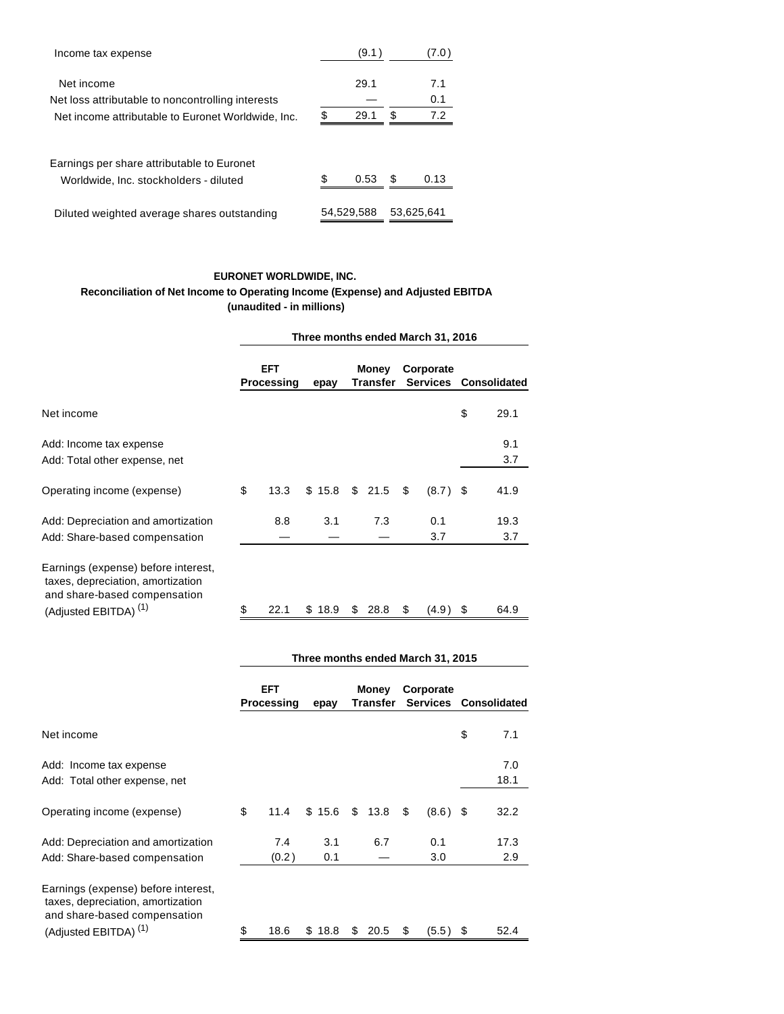| Income tax expense                                                                               | (9.1 )                   |   | (7.0               |  |  |
|--------------------------------------------------------------------------------------------------|--------------------------|---|--------------------|--|--|
| Net income<br>Net loss attributable to noncontrolling interests                                  | \$<br>29.1<br>29.1       | S | 7.1<br>0.1<br>7.2  |  |  |
| Net income attributable to Euronet Worldwide, Inc.<br>Earnings per share attributable to Euronet |                          |   |                    |  |  |
| Worldwide, Inc. stockholders - diluted<br>Diluted weighted average shares outstanding            | \$<br>0.53<br>54.529.588 | S | 0.13<br>53.625.641 |  |  |

# **EURONET WORLDWIDE, INC.**

# **Reconciliation of Net Income to Operating Income (Expense) and Adjusted EBITDA (unaudited - in millions)**

|                                                                                                                                              | Three months ended March 31, 2016 |      |        |                   |        |           |            |                       |             |
|----------------------------------------------------------------------------------------------------------------------------------------------|-----------------------------------|------|--------|-------------------|--------|-----------|------------|-----------------------|-------------|
|                                                                                                                                              | <b>EFT</b><br>Processing          |      | epay   | Money<br>Transfer |        | Corporate |            | Services Consolidated |             |
| Net income                                                                                                                                   |                                   |      |        |                   |        |           |            | \$                    | 29.1        |
| Add: Income tax expense<br>Add: Total other expense, net                                                                                     |                                   |      |        |                   |        |           |            |                       | 9.1<br>3.7  |
| Operating income (expense)                                                                                                                   | \$                                | 13.3 | \$15.8 |                   | \$21.5 | \$        | (8.7)      | \$                    | 41.9        |
| Add: Depreciation and amortization<br>Add: Share-based compensation                                                                          |                                   | 8.8  | 3.1    |                   | 7.3    |           | 0.1<br>3.7 |                       | 19.3<br>3.7 |
| Earnings (expense) before interest,<br>taxes, depreciation, amortization<br>and share-based compensation<br>(Adjusted EBITDA) <sup>(1)</sup> | \$                                | 22.1 | \$18.9 | \$                | 28.8   | \$        | (4.9)      | \$                    | 64.9        |

|                                                                                                                                              | Three months ended March 31, 2015 |                          |            |                          |      |                       |            |    |                     |  |
|----------------------------------------------------------------------------------------------------------------------------------------------|-----------------------------------|--------------------------|------------|--------------------------|------|-----------------------|------------|----|---------------------|--|
|                                                                                                                                              |                                   | <b>EFT</b><br>Processing |            | <b>Money</b><br>Transfer |      | Corporate<br>Services |            |    | <b>Consolidated</b> |  |
| Net income                                                                                                                                   |                                   |                          |            |                          |      |                       |            | \$ | 7.1                 |  |
| Add: Income tax expense<br>Add: Total other expense, net                                                                                     |                                   |                          |            |                          |      |                       |            |    | 7.0<br>18.1         |  |
| Operating income (expense)                                                                                                                   | \$                                | 11.4                     | \$15.6     | \$                       | 13.8 | \$                    | $(8.6)$ \$ |    | 32.2                |  |
| Add: Depreciation and amortization<br>Add: Share-based compensation                                                                          |                                   | 7.4<br>(0.2)             | 3.1<br>0.1 |                          | 6.7  |                       | 0.1<br>3.0 |    | 17.3<br>2.9         |  |
| Earnings (expense) before interest,<br>taxes, depreciation, amortization<br>and share-based compensation<br>(Adjusted EBITDA) <sup>(1)</sup> | \$                                | 18.6                     | \$18.8     | \$                       | 20.5 | \$                    | $(5.5)$ \$ |    | 52.4                |  |